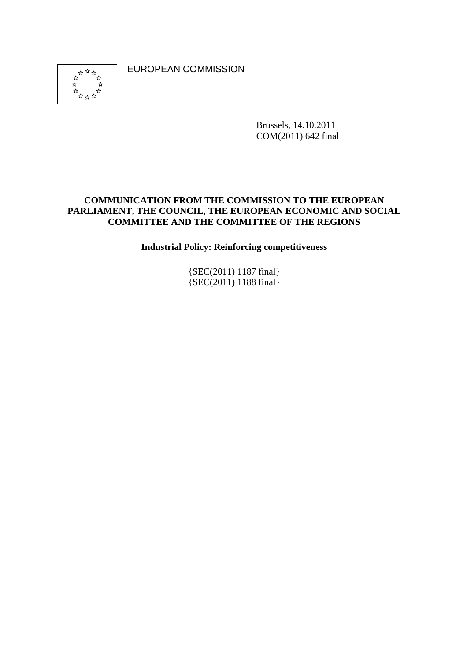EUROPEAN COMMISSION



Brussels, 14.10.2011 COM(2011) 642 final

#### **COMMUNICATION FROM THE COMMISSION TO THE EUROPEAN PARLIAMENT, THE COUNCIL, THE EUROPEAN ECONOMIC AND SOCIAL COMMITTEE AND THE COMMITTEE OF THE REGIONS**

**Industrial Policy: Reinforcing competitiveness** 

{SEC(2011) 1187 final} {SEC(2011) 1188 final}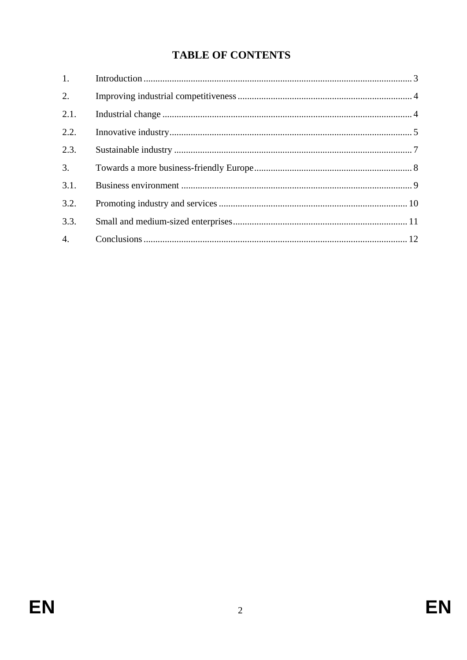# **TABLE OF CONTENTS**

| 1.   |  |
|------|--|
| 2.   |  |
| 2.1. |  |
| 2.2. |  |
| 2.3. |  |
| 3.   |  |
| 3.1. |  |
| 3.2. |  |
| 3.3. |  |
| 4.   |  |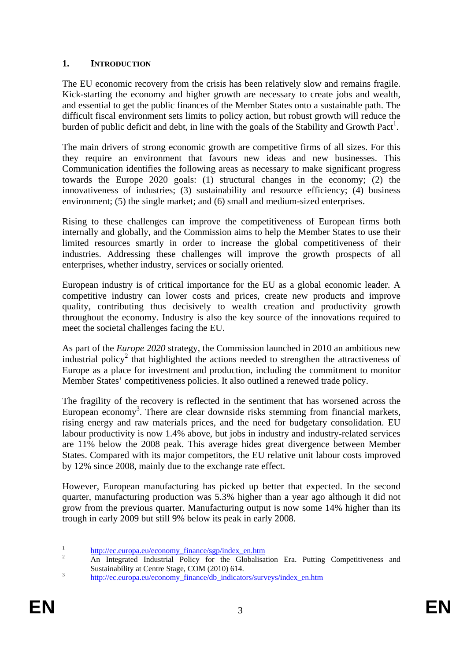## <span id="page-2-0"></span>**1. INTRODUCTION**

The EU economic recovery from the crisis has been relatively slow and remains fragile. Kick-starting the economy and higher growth are necessary to create jobs and wealth, and essential to get the public finances of the Member States onto a sustainable path. The difficult fiscal environment sets limits to policy action, but robust growth will reduce the burden of public deficit and debt, in line with the goals of the Stability and Growth Pact<sup>1</sup>.

The main drivers of strong economic growth are competitive firms of all sizes. For this they require an environment that favours new ideas and new businesses. This Communication identifies the following areas as necessary to make significant progress towards the Europe 2020 goals: (1) structural changes in the economy; (2) the innovativeness of industries; (3) sustainability and resource efficiency; (4) business environment; (5) the single market; and (6) small and medium-sized enterprises.

Rising to these challenges can improve the competitiveness of European firms both internally and globally, and the Commission aims to help the Member States to use their limited resources smartly in order to increase the global competitiveness of their industries. Addressing these challenges will improve the growth prospects of all enterprises, whether industry, services or socially oriented.

European industry is of critical importance for the EU as a global economic leader. A competitive industry can lower costs and prices, create new products and improve quality, contributing thus decisively to wealth creation and productivity growth throughout the economy. Industry is also the key source of the innovations required to meet the societal challenges facing the EU.

As part of the *Europe 2020* strategy, the Commission launched in 2010 an ambitious new industrial policy<sup>2</sup> that highlighted the actions needed to strengthen the attractiveness of Europe as a place for investment and production, including the commitment to monitor Member States' competitiveness policies. It also outlined a renewed trade policy.

The fragility of the recovery is reflected in the sentiment that has worsened across the European economy<sup>3</sup>. There are clear downside risks stemming from financial markets, rising energy and raw materials prices, and the need for budgetary consolidation. EU labour productivity is now 1.4% above, but jobs in industry and industry-related services are 11% below the 2008 peak. This average hides great divergence between Member States. Compared with its major competitors, the EU relative unit labour costs improved by 12% since 2008, mainly due to the exchange rate effect.

However, European manufacturing has picked up better that expected. In the second quarter, manufacturing production was 5.3% higher than a year ago although it did not grow from the previous quarter. Manufacturing output is now some 14% higher than its trough in early 2009 but still 9% below its peak in early 2008.

<sup>&</sup>lt;sup>1</sup> http://ec.europa.eu/economy\_finance/sgp/index\_en.htm

An Integrated Industrial Policy for the Globalisation Era. Putting Competitiveness and Sustainability at Centre Stage, COM (2010) 614.<br>
<sup>3</sup> http://ec.europa.eu/economy\_finance/db\_indicators/surveys/index\_en.htm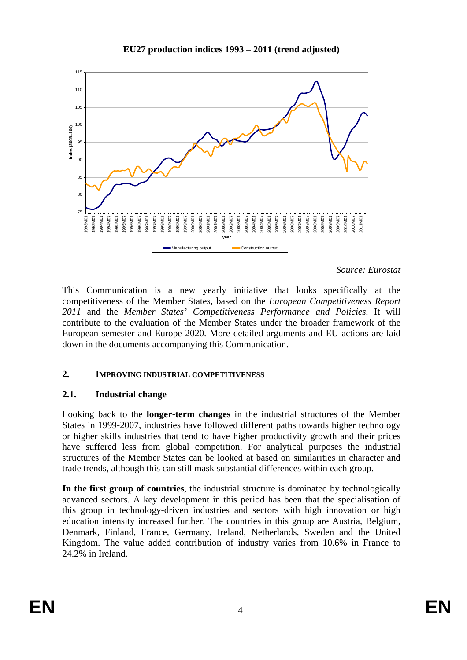

### **EU27 production indices 1993 – 2011 (trend adjusted)**

*Source: Eurostat*

This Communication is a new yearly initiative that looks specifically at the competitiveness of the Member States, based on the *European Competitiveness Report 2011* and the *Member States' Competitiveness Performance and Policies.* It will contribute to the evaluation of the Member States under the broader framework of the European semester and Europe 2020. More detailed arguments and EU actions are laid down in the documents accompanying this Communication.

# <span id="page-3-0"></span>**2. IMPROVING INDUSTRIAL COMPETITIVENESS**

# <span id="page-3-1"></span>**2.1. Industrial change**

Looking back to the **longer-term changes** in the industrial structures of the Member States in 1999-2007, industries have followed different paths towards higher technology or higher skills industries that tend to have higher productivity growth and their prices have suffered less from global competition. For analytical purposes the industrial structures of the Member States can be looked at based on similarities in character and trade trends, although this can still mask substantial differences within each group.

**In the first group of countries**, the industrial structure is dominated by technologically advanced sectors. A key development in this period has been that the specialisation of this group in technology-driven industries and sectors with high innovation or high education intensity increased further. The countries in this group are Austria, Belgium, Denmark, Finland, France, Germany, Ireland, Netherlands, Sweden and the United Kingdom. The value added contribution of industry varies from 10.6% in France to 24.2% in Ireland.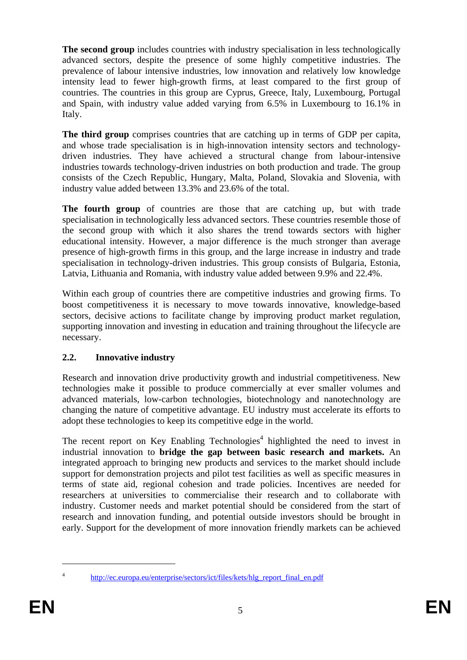**The second group** includes countries with industry specialisation in less technologically advanced sectors, despite the presence of some highly competitive industries. The prevalence of labour intensive industries, low innovation and relatively low knowledge intensity lead to fewer high-growth firms, at least compared to the first group of countries. The countries in this group are Cyprus, Greece, Italy, Luxembourg, Portugal and Spain, with industry value added varying from 6.5% in Luxembourg to 16.1% in Italy.

**The third group** comprises countries that are catching up in terms of GDP per capita, and whose trade specialisation is in high-innovation intensity sectors and technologydriven industries. They have achieved a structural change from labour-intensive industries towards technology-driven industries on both production and trade. The group consists of the Czech Republic, Hungary, Malta, Poland, Slovakia and Slovenia, with industry value added between 13.3% and 23.6% of the total.

**The fourth group** of countries are those that are catching up, but with trade specialisation in technologically less advanced sectors. These countries resemble those of the second group with which it also shares the trend towards sectors with higher educational intensity. However, a major difference is the much stronger than average presence of high-growth firms in this group, and the large increase in industry and trade specialisation in technology-driven industries. This group consists of Bulgaria, Estonia, Latvia, Lithuania and Romania, with industry value added between 9.9% and 22.4%.

Within each group of countries there are competitive industries and growing firms. To boost competitiveness it is necessary to move towards innovative, knowledge-based sectors, decisive actions to facilitate change by improving product market regulation, supporting innovation and investing in education and training throughout the lifecycle are necessary.

# <span id="page-4-0"></span>**2.2. Innovative industry**

Research and innovation drive productivity growth and industrial competitiveness. New technologies make it possible to produce commercially at ever smaller volumes and advanced materials, low-carbon technologies, biotechnology and nanotechnology are changing the nature of competitive advantage. EU industry must accelerate its efforts to adopt these technologies to keep its competitive edge in the world.

The recent report on Key Enabling Technologies<sup>4</sup> highlighted the need to invest in industrial innovation to **bridge the gap between basic research and markets.** An integrated approach to bringing new products and services to the market should include support for demonstration projects and pilot test facilities as well as specific measures in terms of state aid, regional cohesion and trade policies. Incentives are needed for researchers at universities to commercialise their research and to collaborate with industry. Customer needs and market potential should be considered from the start of research and innovation funding, and potential outside investors should be brought in early. Support for the development of more innovation friendly markets can be achieved

<sup>4</sup> [http://ec.europa.eu/enterprise/sectors/ict/files/kets/hlg\\_report\\_final\\_en.pdf](http://ec.europa.eu/enterprise/sectors/ict/files/kets/hlg_report_final_en.pdf)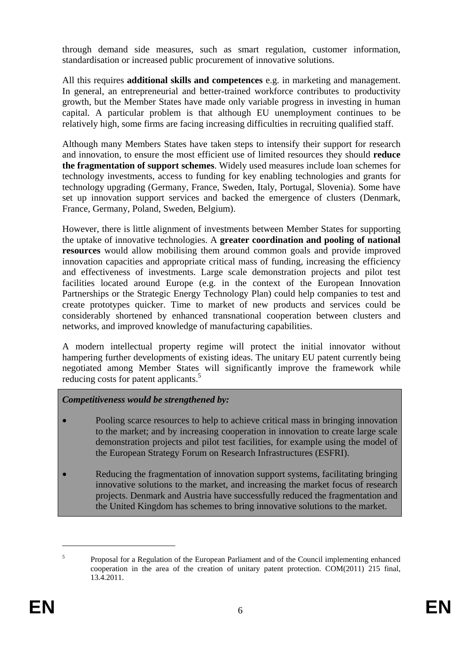through demand side measures, such as smart regulation, customer information, standardisation or increased public procurement of innovative solutions.

All this requires **additional skills and competences** e.g. in marketing and management. In general, an entrepreneurial and better-trained workforce contributes to productivity growth, but the Member States have made only variable progress in investing in human capital. A particular problem is that although EU unemployment continues to be relatively high, some firms are facing increasing difficulties in recruiting qualified staff.

Although many Members States have taken steps to intensify their support for research and innovation, to ensure the most efficient use of limited resources they should **reduce the fragmentation of support schemes**. Widely used measures include loan schemes for technology investments, access to funding for key enabling technologies and grants for technology upgrading (Germany, France, Sweden, Italy, Portugal, Slovenia). Some have set up innovation support services and backed the emergence of clusters (Denmark, France, Germany, Poland, Sweden, Belgium).

However, there is little alignment of investments between Member States for supporting the uptake of innovative technologies. A **greater coordination and pooling of national resources** would allow mobilising them around common goals and provide improved innovation capacities and appropriate critical mass of funding, increasing the efficiency and effectiveness of investments. Large scale demonstration projects and pilot test facilities located around Europe (e.g. in the context of the European Innovation Partnerships or the Strategic Energy Technology Plan) could help companies to test and create prototypes quicker. Time to market of new products and services could be considerably shortened by enhanced transnational cooperation between clusters and networks, and improved knowledge of manufacturing capabilities.

A modern intellectual property regime will protect the initial innovator without hampering further developments of existing ideas. The unitary EU patent currently being negotiated among Member States will significantly improve the framework while reducing costs for patent applicants.<sup>5</sup>

# *Competitiveness would be strengthened by:*

- Pooling scarce resources to help to achieve critical mass in bringing innovation to the market; and by increasing cooperation in innovation to create large scale demonstration projects and pilot test facilities, for example using the model of the European Strategy Forum on Research Infrastructures (ESFRI).
- Reducing the fragmentation of innovation support systems, facilitating bringing innovative solutions to the market, and increasing the market focus of research projects. Denmark and Austria have successfully reduced the fragmentation and the United Kingdom has schemes to bring innovative solutions to the market.

<sup>5</sup> Proposal for a Regulation of the European Parliament and of the Council implementing enhanced cooperation in the area of the creation of unitary patent protection. COM(2011) 215 final, 13.4.2011.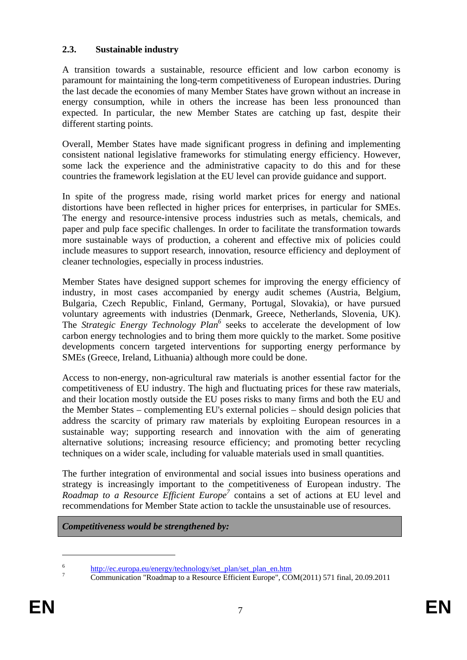# <span id="page-6-0"></span>**2.3. Sustainable industry**

A transition towards a sustainable, resource efficient and low carbon economy is paramount for maintaining the long-term competitiveness of European industries. During the last decade the economies of many Member States have grown without an increase in energy consumption, while in others the increase has been less pronounced than expected. In particular, the new Member States are catching up fast, despite their different starting points.

Overall, Member States have made significant progress in defining and implementing consistent national legislative frameworks for stimulating energy efficiency. However, some lack the experience and the administrative capacity to do this and for these countries the framework legislation at the EU level can provide guidance and support.

In spite of the progress made, rising world market prices for energy and national distortions have been reflected in higher prices for enterprises, in particular for SMEs. The energy and resource-intensive process industries such as metals, chemicals, and paper and pulp face specific challenges. In order to facilitate the transformation towards more sustainable ways of production, a coherent and effective mix of policies could include measures to support research, innovation, resource efficiency and deployment of cleaner technologies, especially in process industries.

Member States have designed support schemes for improving the energy efficiency of industry, in most cases accompanied by energy audit schemes (Austria, Belgium, Bulgaria, Czech Republic, Finland, Germany, Portugal, Slovakia), or have pursued voluntary agreements with industries (Denmark, Greece, Netherlands, Slovenia, UK). The *Strategic Energy Technology Plan*<sup>6</sup> seeks to accelerate the development of low carbon energy technologies and to bring them more quickly to the market. Some positive developments concern targeted interventions for supporting energy performance by SMEs (Greece, Ireland, Lithuania) although more could be done.

Access to non-energy, non-agricultural raw materials is another essential factor for the competitiveness of EU industry. The high and fluctuating prices for these raw materials, and their location mostly outside the EU poses risks to many firms and both the EU and the Member States – complementing EU's external policies – should design policies that address the scarcity of primary raw materials by exploiting European resources in a sustainable way; supporting research and innovation with the aim of generating alternative solutions; increasing resource efficiency; and promoting better recycling techniques on a wider scale, including for valuable materials used in small quantities.

The further integration of environmental and social issues into business operations and strategy is increasingly important to the competitiveness of European industry. The *Roadmap to a Resource Efficient Europe*<sup>7</sup> contains a set of actions at EU level and recommendations for Member State action to tackle the unsustainable use of resources.

*Competitiveness would be strengthened by:* 

<sup>&</sup>lt;sup>6</sup> http://ec.europa.eu/energy/technology/set\_plan/set\_plan\_en.htm

Communication "Roadmap to a Resource Efficient Europe", COM(2011) 571 final, 20.09.2011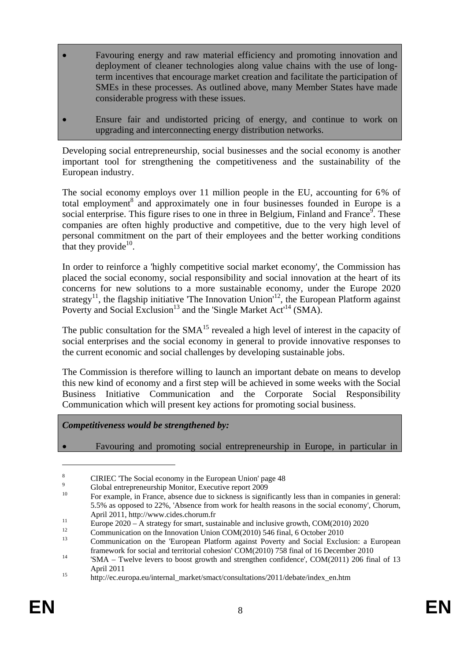- Favouring energy and raw material efficiency and promoting innovation and deployment of cleaner technologies along value chains with the use of longterm incentives that encourage market creation and facilitate the participation of SMEs in these processes. As outlined above, many Member States have made considerable progress with these issues.
- Ensure fair and undistorted pricing of energy, and continue to work on upgrading and interconnecting energy distribution networks.

Developing social entrepreneurship, social businesses and the social economy is another important tool for strengthening the competitiveness and the sustainability of the European industry.

The social economy employs over 11 million people in the EU, accounting for 6% of total employment<sup>8</sup> and approximately one in four businesses founded in Europe is a social enterprise. This figure rises to one in three in Belgium, Finland and France<sup>9</sup>. These companies are often highly productive and competitive, due to the very high level of personal commitment on the part of their employees and the better working conditions that they provide<sup>10</sup>.

In order to reinforce a 'highly competitive social market economy', the Commission has placed the social economy, social responsibility and social innovation at the heart of its concerns for new solutions to a more sustainable economy, under the Europe 2020 strategy<sup>11</sup>, the flagship initiative 'The Innovation Union'<sup>12</sup>, the European Platform against Poverty and Social Exclusion<sup>13</sup> and the 'Single Market Act<sup>14</sup> (SMA).

The public consultation for the  $SMA<sup>15</sup>$  revealed a high level of interest in the capacity of social enterprises and the social economy in general to provide innovative responses to the current economic and social challenges by developing sustainable jobs.

The Commission is therefore willing to launch an important debate on means to develop this new kind of economy and a first step will be achieved in some weeks with the Social Business Initiative Communication and the Corporate Social Responsibility Communication which will present key actions for promoting social business.

*Competitiveness would be strengthened by:* 

 $\overline{a}$ 

• Favouring and promoting social entrepreneurship in Europe, in particular in

<sup>8</sup> CIRIEC 'The Social economy in the European Union' page 48

 $\overline{9}$  $\frac{9}{10}$  Global entrepreneurship Monitor, Executive report 2009

<sup>10</sup> For example, in France, absence due to sickness is significantly less than in companies in general: 5.5% as opposed to 22%, 'Absence from work for health reasons in the social economy', Chorum,

April 2011, http://www.cides.chorum.fr<br>
Europe 2020 – A strategy for smart, sustainable and inclusive growth, COM(2010) 2020

<sup>&</sup>lt;sup>12</sup> Communication on the Innovation Union COM(2010) 546 final, 6 October 2010

<sup>13</sup> Communication on the 'European Platform against Poverty and Social Exclusion: a European

framework for social and territorial cohesion' COM(2010) 758 final of 16 December 2010<br><sup>14</sup> 'SMA – Twelve levers to boost growth and strengthen confidence', COM(2011) 206 final of 13 April 2011 15 http://ec.europa.eu/internal\_market/smact/consultations/2011/debate/index\_en.htm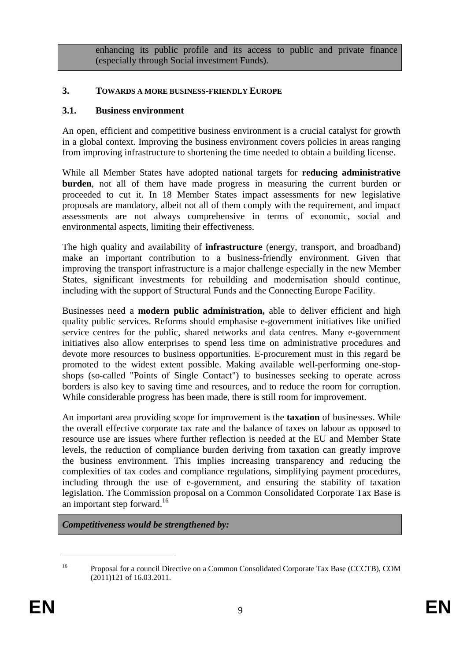enhancing its public profile and its access to public and private finance (especially through Social investment Funds).

#### <span id="page-8-1"></span>**3. TOWARDS A MORE BUSINESS-FRIENDLY EUROPE**

#### **3.1. Business environment**

<span id="page-8-0"></span>An open, efficient and competitive business environment is a crucial catalyst for growth in a global context. Improving the business environment covers policies in areas ranging from improving infrastructure to shortening the time needed to obtain a building license.

While all Member States have adopted national targets for **reducing administrative burden**, not all of them have made progress in measuring the current burden or proceeded to cut it. In 18 Member States impact assessments for new legislative proposals are mandatory, albeit not all of them comply with the requirement, and impact assessments are not always comprehensive in terms of economic, social and environmental aspects, limiting their effectiveness.

The high quality and availability of **infrastructure** (energy, transport, and broadband) make an important contribution to a business-friendly environment. Given that improving the transport infrastructure is a major challenge especially in the new Member States, significant investments for rebuilding and modernisation should continue, including with the support of Structural Funds and the Connecting Europe Facility.

Businesses need a **modern public administration,** able to deliver efficient and high quality public services. Reforms should emphasise e-government initiatives like unified service centres for the public, shared networks and data centres. Many e-government initiatives also allow enterprises to spend less time on administrative procedures and devote more resources to business opportunities. E-procurement must in this regard be promoted to the widest extent possible. Making available well-performing one-stopshops (so-called "Points of Single Contact") to businesses seeking to operate across borders is also key to saving time and resources, and to reduce the room for corruption. While considerable progress has been made, there is still room for improvement.

An important area providing scope for improvement is the **taxation** of businesses. While the overall effective corporate tax rate and the balance of taxes on labour as opposed to resource use are issues where further reflection is needed at the EU and Member State levels, the reduction of compliance burden deriving from taxation can greatly improve the business environment. This implies increasing transparency and reducing the complexities of tax codes and compliance regulations, simplifying payment procedures, including through the use of e-government, and ensuring the stability of taxation legislation. The Commission proposal on a Common Consolidated Corporate Tax Base is an important step forward.<sup>16</sup>

*Competitiveness would be strengthened by:* 

<sup>16</sup> Proposal for a council Directive on a Common Consolidated Corporate Tax Base (CCCTB), COM (2011)121 of 16.03.2011.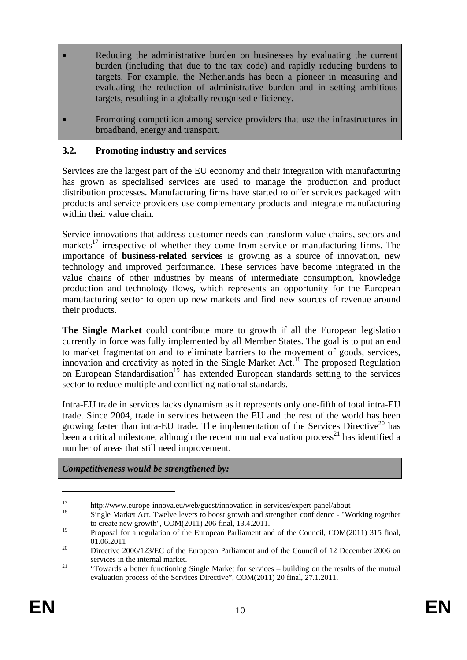- Reducing the administrative burden on businesses by evaluating the current burden (including that due to the tax code) and rapidly reducing burdens to targets. For example, the Netherlands has been a pioneer in measuring and evaluating the reduction of administrative burden and in setting ambitious targets, resulting in a globally recognised efficiency.
- Promoting competition among service providers that use the infrastructures in broadband, energy and transport.

## <span id="page-9-0"></span>**3.2. Promoting industry and services**

Services are the largest part of the EU economy and their integration with manufacturing has grown as specialised services are used to manage the production and product distribution processes. Manufacturing firms have started to offer services packaged with products and service providers use complementary products and integrate manufacturing within their value chain.

Service innovations that address customer needs can transform value chains, sectors and markets $17$  irrespective of whether they come from service or manufacturing firms. The importance of **business-related services** is growing as a source of innovation, new technology and improved performance. These services have become integrated in the value chains of other industries by means of intermediate consumption, knowledge production and technology flows, which represents an opportunity for the European manufacturing sector to open up new markets and find new sources of revenue around their products.

**The Single Market** could contribute more to growth if all the European legislation currently in force was fully implemented by all Member States. The goal is to put an end to market fragmentation and to eliminate barriers to the movement of goods, services, innovation and creativity as noted in the Single Market Act.<sup>18</sup> The proposed Regulation on European Standardisation<sup>19</sup> has extended European standards setting to the services sector to reduce multiple and conflicting national standards.

Intra-EU trade in services lacks dynamism as it represents only one-fifth of total intra-EU trade. Since 2004, trade in services between the EU and the rest of the world has been growing faster than intra-EU trade. The implementation of the Services Directive<sup>20</sup> has been a critical milestone, although the recent mutual evaluation process<sup>21</sup> has identified a number of areas that still need improvement.

#### *Competitiveness would be strengthened by:*

<sup>17</sup> http://www.europe-innova.eu/web/guest/innovation-in-services/expert-panel/about<br>18 Single Market Act. Twelve levers to boost growth and strengthen confidence - "Working together to create new growth", COM(2011) 206 final, 13.4.2011.

<sup>&</sup>lt;sup>19</sup> Proposal for a regulation of the European Parliament and of the Council, COM(2011) 315 final,

<sup>01.06.2011&</sup>lt;br><sup>20</sup> Directive 2006/123/EC of the European Parliament and of the Council of 12 December 2006 on

services in the internal market.<br>
<sup>21</sup> "Towards a better functioning Single Market for services – building on the results of the mutual evaluation process of the Services Directive", COM(2011) 20 final, 27.1.2011.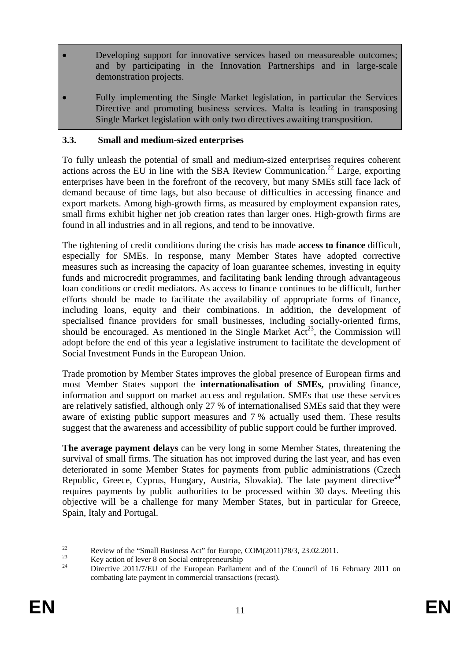- Developing support for innovative services based on measureable outcomes; and by participating in the Innovation Partnerships and in large-scale demonstration projects.
- Fully implementing the Single Market legislation, in particular the Services Directive and promoting business services. Malta is leading in transposing Single Market legislation with only two directives awaiting transposition.

# <span id="page-10-0"></span>**3.3. Small and medium-sized enterprises**

To fully unleash the potential of small and medium-sized enterprises requires coherent actions across the EU in line with the SBA Review Communication.<sup>22</sup> Large, exporting enterprises have been in the forefront of the recovery, but many SMEs still face lack of demand because of time lags, but also because of difficulties in accessing finance and export markets. Among high-growth firms, as measured by employment expansion rates, small firms exhibit higher net job creation rates than larger ones. High-growth firms are found in all industries and in all regions, and tend to be innovative.

The tightening of credit conditions during the crisis has made **access to finance** difficult, especially for SMEs. In response, many Member States have adopted corrective measures such as increasing the capacity of loan guarantee schemes, investing in equity funds and microcredit programmes, and facilitating bank lending through advantageous loan conditions or credit mediators. As access to finance continues to be difficult, further efforts should be made to facilitate the availability of appropriate forms of finance, including loans, equity and their combinations. In addition, the development of specialised finance providers for small businesses, including socially-oriented firms, should be encouraged. As mentioned in the Single Market  $Act^{23}$ , the Commission will adopt before the end of this year a legislative instrument to facilitate the development of Social Investment Funds in the European Union.

Trade promotion by Member States improves the global presence of European firms and most Member States support the **internationalisation of SMEs,** providing finance, information and support on market access and regulation. SMEs that use these services are relatively satisfied, although only 27 % of internationalised SMEs said that they were aware of existing public support measures and 7 % actually used them. These results suggest that the awareness and accessibility of public support could be further improved.

**The average payment delays** can be very long in some Member States, threatening the survival of small firms. The situation has not improved during the last year, and has even deteriorated in some Member States for payments from public administrations (Czech Republic, Greece, Cyprus, Hungary, Austria, Slovakia). The late payment directive<sup>24</sup> requires payments by public authorities to be processed within 30 days. Meeting this objective will be a challenge for many Member States, but in particular for Greece, Spain, Italy and Portugal.

<sup>&</sup>lt;sup>22</sup> Review of the "Small Business Act" for Europe, COM(2011)78/3, 23.02.2011.

 $\frac{23}{24}$  Key action of lever 8 on Social entrepreneurship

<sup>24</sup> Directive 2011/7/EU of the European Parliament and of the Council of 16 February 2011 on combating late payment in commercial transactions (recast).